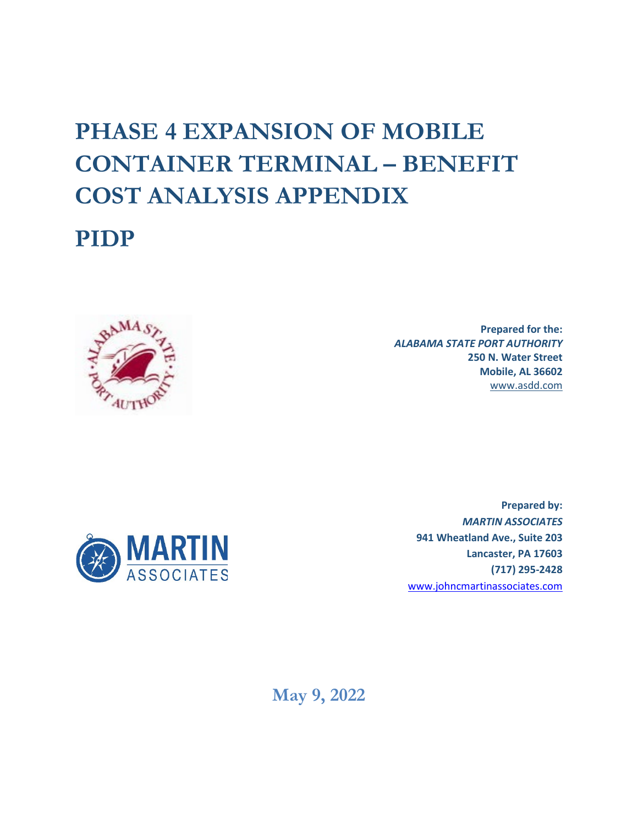# **PHASE 4 EXPANSION OF MOBILE CONTAINER TERMINAL – BENEFIT COST ANALYSIS APPENDIX**

**PIDP**



**Prepared for the:** *ALABAMA STATE PORT AUTHORITY* **250 N. Water Street Mobile, AL 36602** [www.asdd.com](http://www.asdd.com/)



**Prepared by:** *MARTIN ASSOCIATES* **941 Wheatland Ave., Suite 203 Lancaster, PA 17603 (717) 295-2428** [www.johncmartinassociates.com](http://www.johncmartinassociates.com/)

**May 9, 2022**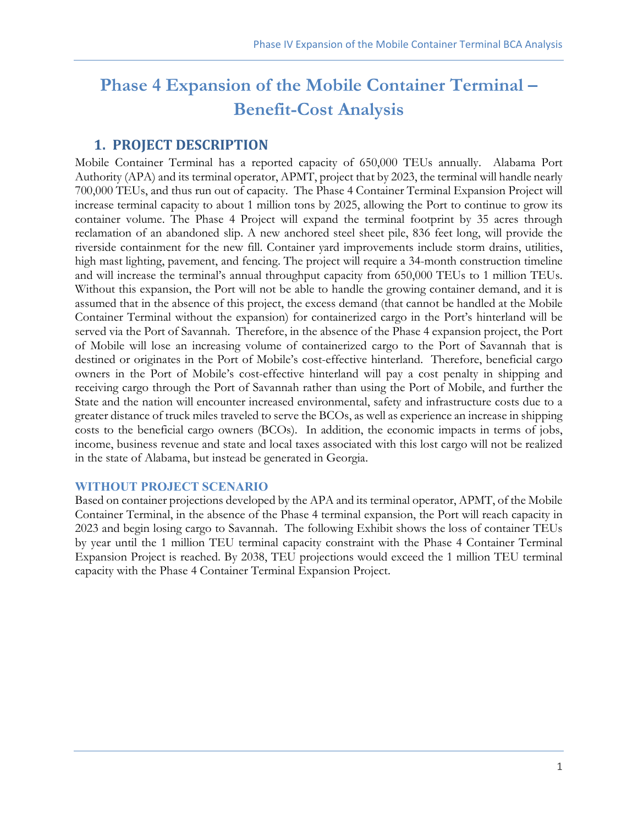# **Phase 4 Expansion of the Mobile Container Terminal – Benefit-Cost Analysis**

### **1. PROJECT DESCRIPTION**

Mobile Container Terminal has a reported capacity of 650,000 TEUs annually. Alabama Port Authority (APA) and its terminal operator, APMT, project that by 2023, the terminal will handle nearly 700,000 TEUs, and thus run out of capacity. The Phase 4 Container Terminal Expansion Project will increase terminal capacity to about 1 million tons by 2025, allowing the Port to continue to grow its container volume. The Phase 4 Project will expand the terminal footprint by 35 acres through reclamation of an abandoned slip. A new anchored steel sheet pile, 836 feet long, will provide the riverside containment for the new fill. Container yard improvements include storm drains, utilities, high mast lighting, pavement, and fencing. The project will require a 34-month construction timeline and will increase the terminal's annual throughput capacity from 650,000 TEUs to 1 million TEUs. Without this expansion, the Port will not be able to handle the growing container demand, and it is assumed that in the absence of this project, the excess demand (that cannot be handled at the Mobile Container Terminal without the expansion) for containerized cargo in the Port's hinterland will be served via the Port of Savannah. Therefore, in the absence of the Phase 4 expansion project, the Port of Mobile will lose an increasing volume of containerized cargo to the Port of Savannah that is destined or originates in the Port of Mobile's cost-effective hinterland. Therefore, beneficial cargo owners in the Port of Mobile's cost-effective hinterland will pay a cost penalty in shipping and receiving cargo through the Port of Savannah rather than using the Port of Mobile, and further the State and the nation will encounter increased environmental, safety and infrastructure costs due to a greater distance of truck miles traveled to serve the BCOs, as well as experience an increase in shipping costs to the beneficial cargo owners (BCOs). In addition, the economic impacts in terms of jobs, income, business revenue and state and local taxes associated with this lost cargo will not be realized in the state of Alabama, but instead be generated in Georgia.

#### **WITHOUT PROJECT SCENARIO**

Based on container projections developed by the APA and its terminal operator, APMT, of the Mobile Container Terminal, in the absence of the Phase 4 terminal expansion, the Port will reach capacity in 2023 and begin losing cargo to Savannah. The following Exhibit shows the loss of container TEUs by year until the 1 million TEU terminal capacity constraint with the Phase 4 Container Terminal Expansion Project is reached. By 2038, TEU projections would exceed the 1 million TEU terminal capacity with the Phase 4 Container Terminal Expansion Project.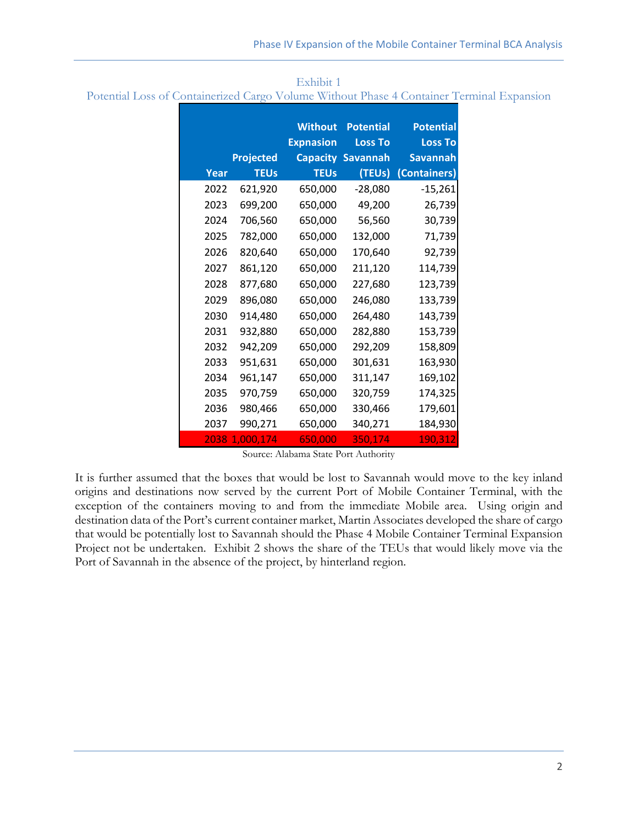|      |                  | Without          | <b>Potential</b> | <b>Potential</b> |
|------|------------------|------------------|------------------|------------------|
|      |                  | <b>Expnasion</b> | <b>Loss To</b>   | <b>Loss To</b>   |
|      | <b>Projected</b> | <b>Capacity</b>  | <b>Savannah</b>  | <b>Savannah</b>  |
| Year | <b>TEUs</b>      | <b>TEUs</b>      | (TEUs)           | (Containers)     |
| 2022 | 621,920          | 650,000          | $-28,080$        | $-15,261$        |
| 2023 | 699,200          | 650,000          | 49,200           | 26,739           |
| 2024 | 706,560          | 650,000          | 56,560           | 30,739           |
| 2025 | 782,000          | 650,000          | 132,000          | 71,739           |
| 2026 | 820,640          | 650,000          | 170,640          | 92,739           |
| 2027 | 861,120          | 650,000          | 211,120          | 114,739          |
| 2028 | 877,680          | 650,000          | 227,680          | 123,739          |
| 2029 | 896,080          | 650,000          | 246,080          | 133,739          |
| 2030 | 914,480          | 650,000          | 264,480          | 143,739          |
| 2031 | 932,880          | 650,000          | 282,880          | 153,739          |
| 2032 | 942,209          | 650,000          | 292,209          | 158,809          |
| 2033 | 951,631          | 650,000          | 301,631          | 163,930          |
| 2034 | 961,147          | 650,000          | 311,147          | 169,102          |
| 2035 | 970,759          | 650,000          | 320,759          | 174,325          |
| 2036 | 980,466          | 650,000          | 330,466          | 179,601          |
| 2037 | 990,271          | 650,000          | 340,271          | 184,930          |
|      | 2038 1,000,174   | 650,000          | 350,174          | 190,312          |

Exhibit 1 Potential Loss of Containerized Cargo Volume Without Phase 4 Container Terminal Expansion

Source: Alabama State Port Authority

It is further assumed that the boxes that would be lost to Savannah would move to the key inland origins and destinations now served by the current Port of Mobile Container Terminal, with the exception of the containers moving to and from the immediate Mobile area. Using origin and destination data of the Port's current container market, Martin Associates developed the share of cargo that would be potentially lost to Savannah should the Phase 4 Mobile Container Terminal Expansion Project not be undertaken. Exhibit 2 shows the share of the TEUs that would likely move via the Port of Savannah in the absence of the project, by hinterland region.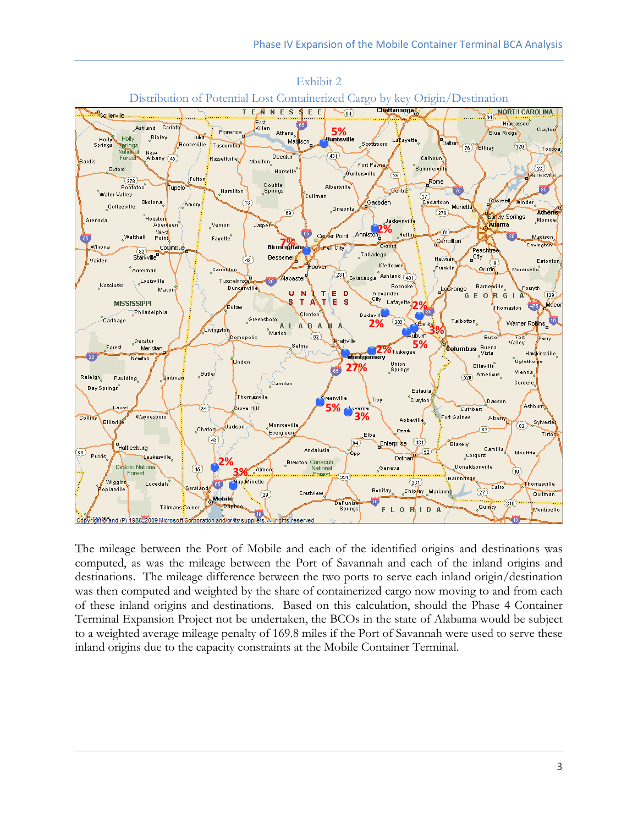

Exhibit 2 Distribution of Potential Lost Containerized Cargo by key Origin/Destination

The mileage between the Port of Mobile and each of the identified origins and destinations was computed, as was the mileage between the Port of Savannah and each of the inland origins and destinations. The mileage difference between the two ports to serve each inland origin/destination was then computed and weighted by the share of containerized cargo now moving to and from each of these inland origins and destinations. Based on this calculation, should the Phase 4 Container Terminal Expansion Project not be undertaken, the BCOs in the state of Alabama would be subject to a weighted average mileage penalty of 169.8 miles if the Port of Savannah were used to serve these inland origins due to the capacity constraints at the Mobile Container Terminal.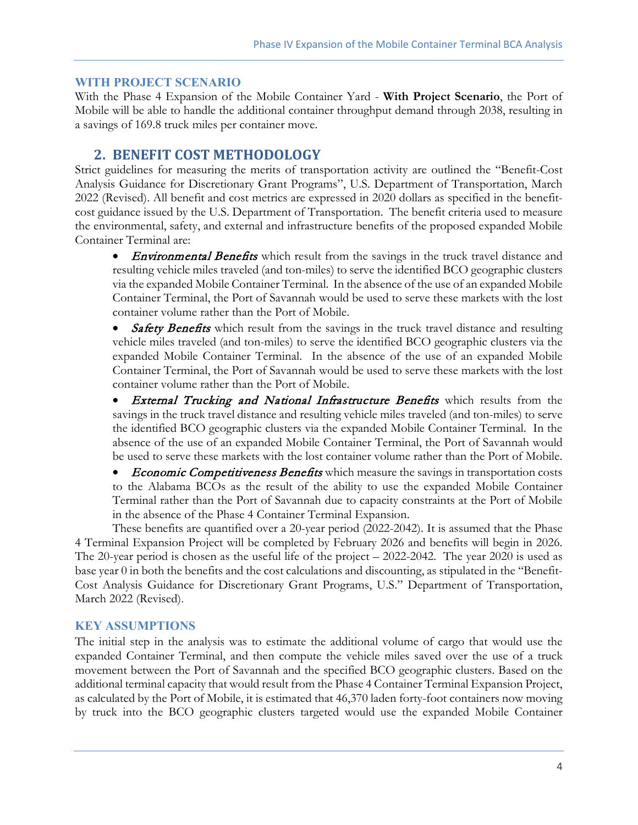#### **WITH PROJECT SCENARIO**

With the Phase 4 Expansion of the Mobile Container Yard - **With Project Scenario**, the Port of Mobile will be able to handle the additional container throughput demand through 2038, resulting in a savings of 169.8 truck miles per container move.

#### **2. BENEFIT COST METHODOLOGY**

Strict guidelines for measuring the merits of transportation activity are outlined the "Benefit-Cost Analysis Guidance for Discretionary Grant Programs", U.S. Department of Transportation, March 2022 (Revised). All benefit and cost metrics are expressed in 2020 dollars as specified in the benefitcost guidance issued by the U.S. Department of Transportation. The benefit criteria used to measure the environmental, safety, and external and infrastructure benefits of the proposed expanded Mobile Container Terminal are:

• Environmental Benefits which result from the savings in the truck travel distance and resulting vehicle miles traveled (and ton-miles) to serve the identified BCO geographic clusters via the expanded Mobile Container Terminal. In the absence of the use of an expanded Mobile Container Terminal, the Port of Savannah would be used to serve these markets with the lost container volume rather than the Port of Mobile.

**Safety Benefits** which result from the savings in the truck travel distance and resulting vehicle miles traveled (and ton-miles) to serve the identified BCO geographic clusters via the expanded Mobile Container Terminal. In the absence of the use of an expanded Mobile Container Terminal, the Port of Savannah would be used to serve these markets with the lost container volume rather than the Port of Mobile.

**External Trucking and National Infrastructure Benefits** which results from the savings in the truck travel distance and resulting vehicle miles traveled (and ton-miles) to serve the identified BCO geographic clusters via the expanded Mobile Container Terminal. In the absence of the use of an expanded Mobile Container Terminal, the Port of Savannah would be used to serve these markets with the lost container volume rather than the Port of Mobile.

• Economic Competitiveness Benefits which measure the savings in transportation costs to the Alabama BCOs as the result of the ability to use the expanded Mobile Container Terminal rather than the Port of Savannah due to capacity constraints at the Port of Mobile in the absence of the Phase 4 Container Terminal Expansion.

These benefits are quantified over a 20-year period (2022-2042). It is assumed that the Phase 4 Terminal Expansion Project will be completed by February 2026 and benefits will begin in 2026. The 20-year period is chosen as the useful life of the project – 2022-2042. The year 2020 is used as base year 0 in both the benefits and the cost calculations and discounting, as stipulated in the "Benefit-Cost Analysis Guidance for Discretionary Grant Programs, U.S." Department of Transportation, March 2022 (Revised).

#### **KEY ASSUMPTIONS**

The initial step in the analysis was to estimate the additional volume of cargo that would use the expanded Container Terminal, and then compute the vehicle miles saved over the use of a truck movement between the Port of Savannah and the specified BCO geographic clusters. Based on the additional terminal capacity that would result from the Phase 4 Container Terminal Expansion Project, as calculated by the Port of Mobile, it is estimated that 46,370 laden forty-foot containers now moving by truck into the BCO geographic clusters targeted would use the expanded Mobile Container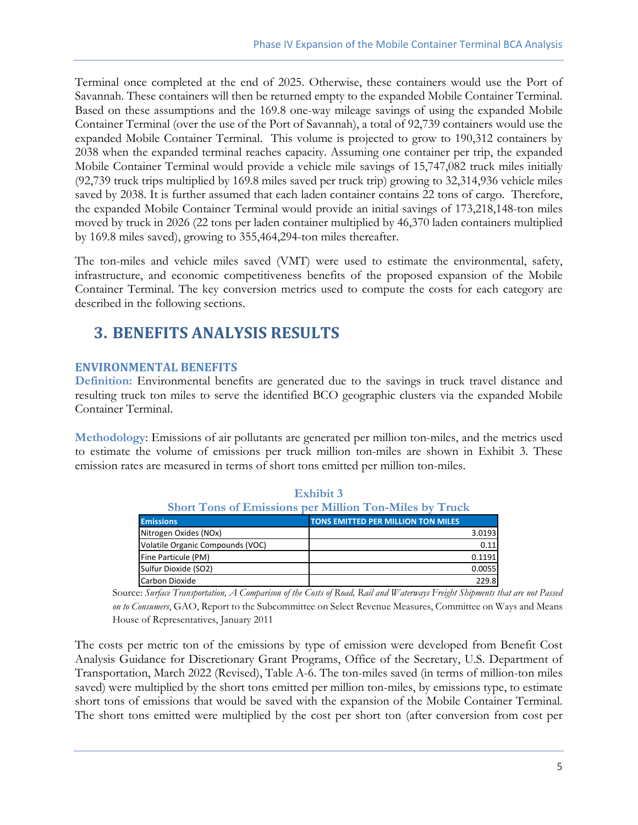Terminal once completed at the end of 2025. Otherwise, these containers would use the Port of Savannah. These containers will then be returned empty to the expanded Mobile Container Terminal. Based on these assumptions and the 169.8 one-way mileage savings of using the expanded Mobile Container Terminal (over the use of the Port of Savannah), a total of 92,739 containers would use the expanded Mobile Container Terminal. This volume is projected to grow to 190,312 containers by 2038 when the expanded terminal reaches capacity. Assuming one container per trip, the expanded Mobile Container Terminal would provide a vehicle mile savings of 15,747,082 truck miles initially (92,739 truck trips multiplied by 169.8 miles saved per truck trip) growing to 32,314,936 vehicle miles saved by 2038. It is further assumed that each laden container contains 22 tons of cargo. Therefore, the expanded Mobile Container Terminal would provide an initial savings of 173,218,148-ton miles moved by truck in 2026 (22 tons per laden container multiplied by 46,370 laden containers multiplied by 169.8 miles saved), growing to 355,464,294-ton miles thereafter.

The ton-miles and vehicle miles saved (VMT) were used to estimate the environmental, safety, infrastructure, and economic competitiveness benefits of the proposed expansion of the Mobile Container Terminal. The key conversion metrics used to compute the costs for each category are described in the following sections.

# **3. BENEFITS ANALYSIS RESULTS**

#### **ENVIRONMENTAL BENEFITS**

**Definition:** Environmental benefits are generated due to the savings in truck travel distance and resulting truck ton miles to serve the identified BCO geographic clusters via the expanded Mobile Container Terminal.

**Methodology**: Emissions of air pollutants are generated per million ton-miles, and the metrics used to estimate the volume of emissions per truck million ton-miles are shown in Exhibit 3. These emission rates are measured in terms of short tons emitted per million ton-miles.

| <b>Short Tons of Emissions per Million Ton-Miles by Truck</b> |                                           |  |  |
|---------------------------------------------------------------|-------------------------------------------|--|--|
| <b>Emissions</b>                                              | <b>TONS EMITTED PER MILLION TON MILES</b> |  |  |
| Nitrogen Oxides (NOx)                                         | 3.0193                                    |  |  |
| Volatile Organic Compounds (VOC)                              | 0.11                                      |  |  |
| Fine Particule (PM)                                           | 0.1191                                    |  |  |
| Sulfur Dioxide (SO2)                                          | 0.0055                                    |  |  |
| Carbon Dioxide                                                | 229.8                                     |  |  |

**Exhibit 3** 

Source: *Surface Transportation, A Comparison of the Costs of Road, Rail and Waterways Freight Shipments that are not Passed on to Consumers*, GAO, Report to the Subcommittee on Select Revenue Measures, Committee on Ways and Means House of Representatives, January 2011

The costs per metric ton of the emissions by type of emission were developed from Benefit Cost Analysis Guidance for Discretionary Grant Programs, Office of the Secretary, U.S. Department of Transportation, March 2022 (Revised), Table A-6. The ton-miles saved (in terms of million-ton miles saved) were multiplied by the short tons emitted per million ton-miles, by emissions type, to estimate short tons of emissions that would be saved with the expansion of the Mobile Container Terminal. The short tons emitted were multiplied by the cost per short ton (after conversion from cost per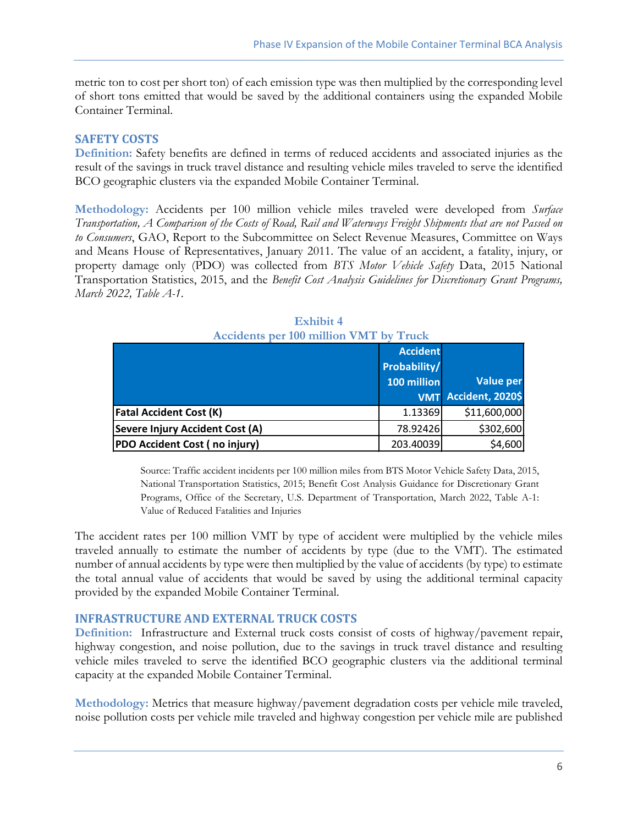metric ton to cost per short ton) of each emission type was then multiplied by the corresponding level of short tons emitted that would be saved by the additional containers using the expanded Mobile Container Terminal.

#### **SAFETY COSTS**

**Definition:** Safety benefits are defined in terms of reduced accidents and associated injuries as the result of the savings in truck travel distance and resulting vehicle miles traveled to serve the identified BCO geographic clusters via the expanded Mobile Container Terminal.

**Methodology:** Accidents per 100 million vehicle miles traveled were developed from *Surface Transportation, A Comparison of the Costs of Road, Rail and Waterways Freight Shipments that are not Passed on to Consumers*, GAO, Report to the Subcommittee on Select Revenue Measures, Committee on Ways and Means House of Representatives, January 2011. The value of an accident, a fatality, injury, or property damage only (PDO) was collected from *BTS Motor Vehicle Safety* Data, 2015 National Transportation Statistics, 2015, and the *Benefit Cost Analysis Guidelines for Discretionary Grant Programs, March 2022, Table A-1*.

| <b>Accidents per 100 million VMT by Truck</b> |                                        |                      |  |
|-----------------------------------------------|----------------------------------------|----------------------|--|
|                                               | <b>Accident</b><br><b>Probability/</b> |                      |  |
|                                               | 100 million                            | <b>Value per</b>     |  |
|                                               |                                        |                      |  |
|                                               |                                        | VMT Accident, 2020\$ |  |
| <b>Fatal Accident Cost (K)</b>                | 1.13369                                | \$11,600,000         |  |
| Severe Injury Accident Cost (A)               | 78.92426                               | \$302,600            |  |

**Exhibit 4** 

Source: Traffic accident incidents per 100 million miles from BTS Motor Vehicle Safety Data, 2015, National Transportation Statistics, 2015; Benefit Cost Analysis Guidance for Discretionary Grant Programs, Office of the Secretary, U.S. Department of Transportation, March 2022, Table A-1: Value of Reduced Fatalities and Injuries

The accident rates per 100 million VMT by type of accident were multiplied by the vehicle miles traveled annually to estimate the number of accidents by type (due to the VMT). The estimated number of annual accidents by type were then multiplied by the value of accidents (by type) to estimate the total annual value of accidents that would be saved by using the additional terminal capacity provided by the expanded Mobile Container Terminal.

#### **INFRASTRUCTURE AND EXTERNAL TRUCK COSTS**

**Definition:** Infrastructure and External truck costs consist of costs of highway/pavement repair, highway congestion, and noise pollution, due to the savings in truck travel distance and resulting vehicle miles traveled to serve the identified BCO geographic clusters via the additional terminal capacity at the expanded Mobile Container Terminal.

**Methodology:** Metrics that measure highway/pavement degradation costs per vehicle mile traveled, noise pollution costs per vehicle mile traveled and highway congestion per vehicle mile are published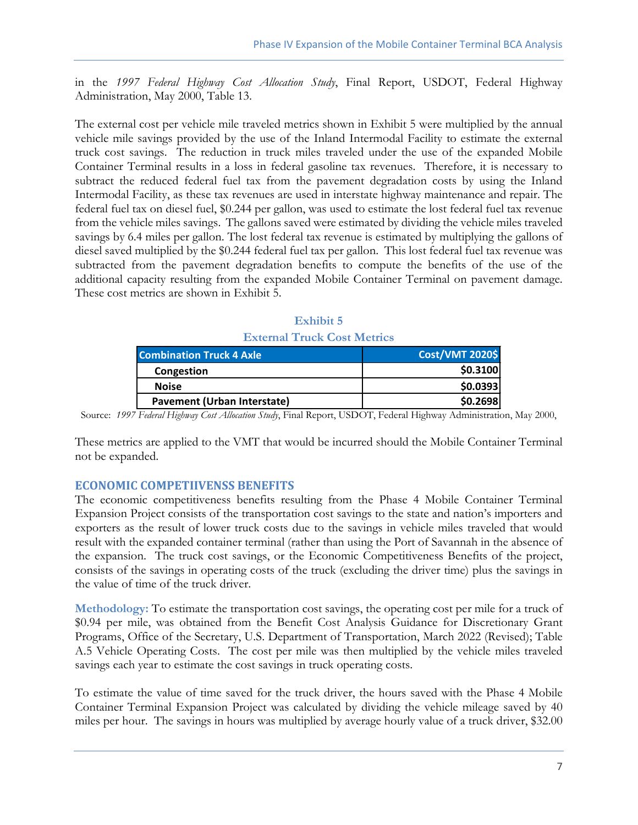in the *1997 Federal Highway Cost Allocation Study*, Final Report, USDOT, Federal Highway Administration, May 2000, Table 13.

The external cost per vehicle mile traveled metrics shown in Exhibit 5 were multiplied by the annual vehicle mile savings provided by the use of the Inland Intermodal Facility to estimate the external truck cost savings. The reduction in truck miles traveled under the use of the expanded Mobile Container Terminal results in a loss in federal gasoline tax revenues. Therefore, it is necessary to subtract the reduced federal fuel tax from the pavement degradation costs by using the Inland Intermodal Facility, as these tax revenues are used in interstate highway maintenance and repair. The federal fuel tax on diesel fuel, \$0.244 per gallon, was used to estimate the lost federal fuel tax revenue from the vehicle miles savings. The gallons saved were estimated by dividing the vehicle miles traveled savings by 6.4 miles per gallon. The lost federal tax revenue is estimated by multiplying the gallons of diesel saved multiplied by the \$0.244 federal fuel tax per gallon. This lost federal fuel tax revenue was subtracted from the pavement degradation benefits to compute the benefits of the use of the additional capacity resulting from the expanded Mobile Container Terminal on pavement damage. These cost metrics are shown in Exhibit 5.

| <b>Combination Truck 4 Axle</b> | <b>Cost/VMT 2020\$</b> |
|---------------------------------|------------------------|
| Congestion                      | \$0.3100               |
| <b>Noise</b>                    | \$0.0393               |
| Pavement (Urban Interstate)     | \$0.2698               |

**Exhibit 5 External Truck Cost Metrics**

Source: *1997 Federal Highway Cost Allocation Study*, Final Report, USDOT, Federal Highway Administration, May 2000,

These metrics are applied to the VMT that would be incurred should the Mobile Container Terminal not be expanded.

#### **ECONOMIC COMPETIIVENSS BENEFITS**

The economic competitiveness benefits resulting from the Phase 4 Mobile Container Terminal Expansion Project consists of the transportation cost savings to the state and nation's importers and exporters as the result of lower truck costs due to the savings in vehicle miles traveled that would result with the expanded container terminal (rather than using the Port of Savannah in the absence of the expansion. The truck cost savings, or the Economic Competitiveness Benefits of the project, consists of the savings in operating costs of the truck (excluding the driver time) plus the savings in the value of time of the truck driver.

**Methodology:** To estimate the transportation cost savings, the operating cost per mile for a truck of \$0.94 per mile, was obtained from the Benefit Cost Analysis Guidance for Discretionary Grant Programs, Office of the Secretary, U.S. Department of Transportation, March 2022 (Revised); Table A.5 Vehicle Operating Costs. The cost per mile was then multiplied by the vehicle miles traveled savings each year to estimate the cost savings in truck operating costs.

To estimate the value of time saved for the truck driver, the hours saved with the Phase 4 Mobile Container Terminal Expansion Project was calculated by dividing the vehicle mileage saved by 40 miles per hour. The savings in hours was multiplied by average hourly value of a truck driver, \$32.00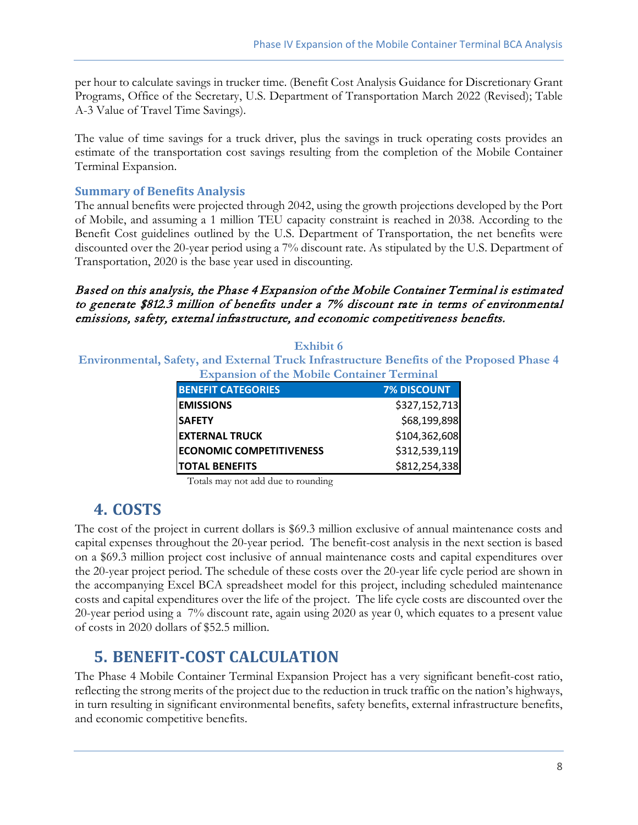per hour to calculate savings in trucker time. (Benefit Cost Analysis Guidance for Discretionary Grant Programs, Office of the Secretary, U.S. Department of Transportation March 2022 (Revised); Table A-3 Value of Travel Time Savings).

The value of time savings for a truck driver, plus the savings in truck operating costs provides an estimate of the transportation cost savings resulting from the completion of the Mobile Container Terminal Expansion.

#### **Summary of Benefits Analysis**

The annual benefits were projected through 2042, using the growth projections developed by the Port of Mobile, and assuming a 1 million TEU capacity constraint is reached in 2038. According to the Benefit Cost guidelines outlined by the U.S. Department of Transportation, the net benefits were discounted over the 20-year period using a 7% discount rate. As stipulated by the U.S. Department of Transportation, 2020 is the base year used in discounting.

#### Based on this analysis, the Phase 4 Expansion of the Mobile Container Terminal is estimated to generate \$812.3 million of benefits under a 7% discount rate in terms of environmental emissions, safety, external infrastructure, and economic competitiveness benefits.

#### **Exhibit 6**

**Environmental, Safety, and External Truck Infrastructure Benefits of the Proposed Phase 4 Expansion of the Mobile Container Terminal**

| <b>BENEFIT CATEGORIES</b>       | <b>7% DISCOUNT</b> |  |
|---------------------------------|--------------------|--|
| <b>EMISSIONS</b>                | \$327,152,713      |  |
| <b>SAFETY</b>                   | \$68,199,898       |  |
| <b>EXTERNAL TRUCK</b>           | \$104,362,608      |  |
| <b>ECONOMIC COMPETITIVENESS</b> | \$312,539,119      |  |
| <b>TOTAL BENEFITS</b>           | \$812,254,338      |  |

Totals may not add due to rounding

## **4. COSTS**

The cost of the project in current dollars is \$69.3 million exclusive of annual maintenance costs and capital expenses throughout the 20-year period. The benefit-cost analysis in the next section is based on a \$69.3 million project cost inclusive of annual maintenance costs and capital expenditures over the 20-year project period. The schedule of these costs over the 20-year life cycle period are shown in the accompanying Excel BCA spreadsheet model for this project, including scheduled maintenance costs and capital expenditures over the life of the project. The life cycle costs are discounted over the 20-year period using a 7% discount rate, again using 2020 as year 0, which equates to a present value of costs in 2020 dollars of \$52.5 million.

# **5. BENEFIT-COST CALCULATION**

The Phase 4 Mobile Container Terminal Expansion Project has a very significant benefit-cost ratio, reflecting the strong merits of the project due to the reduction in truck traffic on the nation's highways, in turn resulting in significant environmental benefits, safety benefits, external infrastructure benefits, and economic competitive benefits.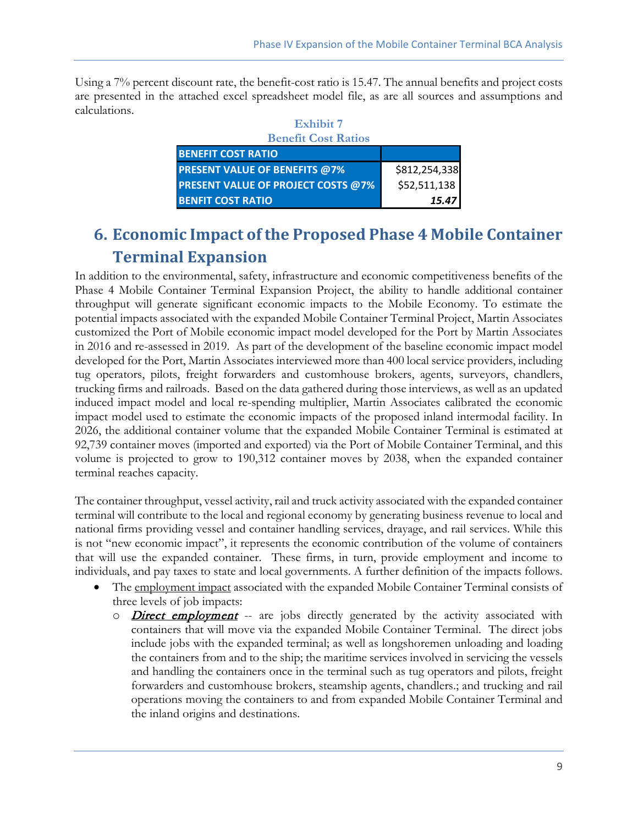Using a 7% percent discount rate, the benefit-cost ratio is 15.47. The annual benefits and project costs are presented in the attached excel spreadsheet model file, as are all sources and assumptions and calculations.

| <b>Exhibit 7</b>                          |               |
|-------------------------------------------|---------------|
| <b>Benefit Cost Ratios</b>                |               |
| <b>BENEFIT COST RATIO</b>                 |               |
| <b>PRESENT VALUE OF BENEFITS @7%</b>      | \$812,254,338 |
| <b>PRESENT VALUE OF PROJECT COSTS @7%</b> | \$52,511,138  |
| <b>BENFIT COST RATIO</b>                  | 15.47         |

# **6. Economic Impact of the Proposed Phase 4 Mobile Container Terminal Expansion**

In addition to the environmental, safety, infrastructure and economic competitiveness benefits of the Phase 4 Mobile Container Terminal Expansion Project, the ability to handle additional container throughput will generate significant economic impacts to the Mobile Economy. To estimate the potential impacts associated with the expanded Mobile Container Terminal Project, Martin Associates customized the Port of Mobile economic impact model developed for the Port by Martin Associates in 2016 and re-assessed in 2019. As part of the development of the baseline economic impact model developed for the Port, Martin Associates interviewed more than 400 local service providers, including tug operators, pilots, freight forwarders and customhouse brokers, agents, surveyors, chandlers, trucking firms and railroads. Based on the data gathered during those interviews, as well as an updated induced impact model and local re-spending multiplier, Martin Associates calibrated the economic impact model used to estimate the economic impacts of the proposed inland intermodal facility. In 2026, the additional container volume that the expanded Mobile Container Terminal is estimated at 92,739 container moves (imported and exported) via the Port of Mobile Container Terminal, and this volume is projected to grow to 190,312 container moves by 2038, when the expanded container terminal reaches capacity.

The container throughput, vessel activity, rail and truck activity associated with the expanded container terminal will contribute to the local and regional economy by generating business revenue to local and national firms providing vessel and container handling services, drayage, and rail services. While this is not "new economic impact", it represents the economic contribution of the volume of containers that will use the expanded container. These firms, in turn, provide employment and income to individuals, and pay taxes to state and local governments. A further definition of the impacts follows.

- The employment impact associated with the expanded Mobile Container Terminal consists of three levels of job impacts:
	- o **Direct employment** -- are jobs directly generated by the activity associated with containers that will move via the expanded Mobile Container Terminal. The direct jobs include jobs with the expanded terminal; as well as longshoremen unloading and loading the containers from and to the ship; the maritime services involved in servicing the vessels and handling the containers once in the terminal such as tug operators and pilots, freight forwarders and customhouse brokers, steamship agents, chandlers.; and trucking and rail operations moving the containers to and from expanded Mobile Container Terminal and the inland origins and destinations.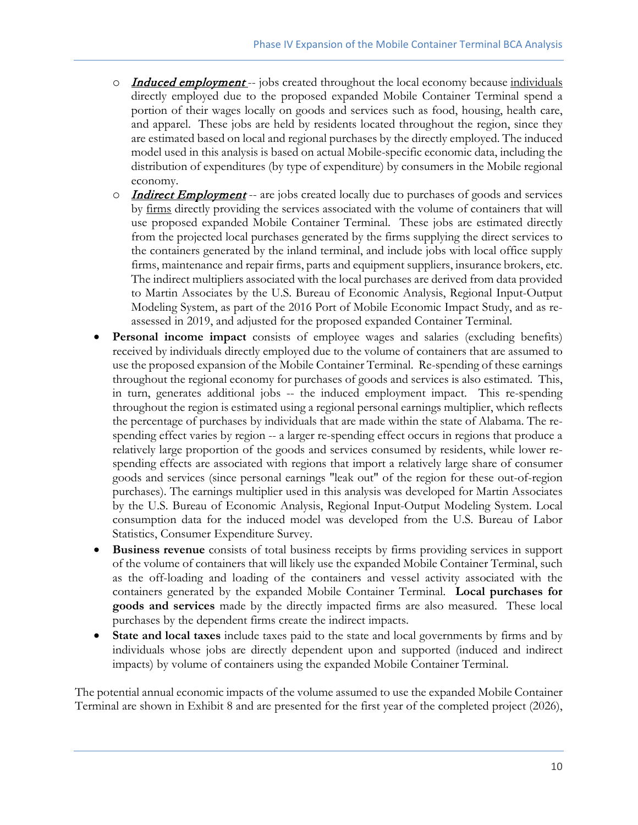- o *Induced employment* -- jobs created throughout the local economy because individuals directly employed due to the proposed expanded Mobile Container Terminal spend a portion of their wages locally on goods and services such as food, housing, health care, and apparel. These jobs are held by residents located throughout the region, since they are estimated based on local and regional purchases by the directly employed. The induced model used in this analysis is based on actual Mobile-specific economic data, including the distribution of expenditures (by type of expenditure) by consumers in the Mobile regional economy.
- o *Indirect Employment* -- are jobs created locally due to purchases of goods and services by firms directly providing the services associated with the volume of containers that will use proposed expanded Mobile Container Terminal. These jobs are estimated directly from the projected local purchases generated by the firms supplying the direct services to the containers generated by the inland terminal, and include jobs with local office supply firms, maintenance and repair firms, parts and equipment suppliers, insurance brokers, etc. The indirect multipliers associated with the local purchases are derived from data provided to Martin Associates by the U.S. Bureau of Economic Analysis, Regional Input-Output Modeling System, as part of the 2016 Port of Mobile Economic Impact Study, and as reassessed in 2019, and adjusted for the proposed expanded Container Terminal.
- Personal income impact consists of employee wages and salaries (excluding benefits) received by individuals directly employed due to the volume of containers that are assumed to use the proposed expansion of the Mobile Container Terminal. Re-spending of these earnings throughout the regional economy for purchases of goods and services is also estimated. This, in turn, generates additional jobs -- the induced employment impact. This re-spending throughout the region is estimated using a regional personal earnings multiplier, which reflects the percentage of purchases by individuals that are made within the state of Alabama. The respending effect varies by region -- a larger re-spending effect occurs in regions that produce a relatively large proportion of the goods and services consumed by residents, while lower respending effects are associated with regions that import a relatively large share of consumer goods and services (since personal earnings "leak out" of the region for these out-of-region purchases). The earnings multiplier used in this analysis was developed for Martin Associates by the U.S. Bureau of Economic Analysis, Regional Input-Output Modeling System. Local consumption data for the induced model was developed from the U.S. Bureau of Labor Statistics, Consumer Expenditure Survey.
- **Business revenue** consists of total business receipts by firms providing services in support of the volume of containers that will likely use the expanded Mobile Container Terminal, such as the off-loading and loading of the containers and vessel activity associated with the containers generated by the expanded Mobile Container Terminal. **Local purchases for goods and services** made by the directly impacted firms are also measured. These local purchases by the dependent firms create the indirect impacts.
- **State and local taxes** include taxes paid to the state and local governments by firms and by individuals whose jobs are directly dependent upon and supported (induced and indirect impacts) by volume of containers using the expanded Mobile Container Terminal.

The potential annual economic impacts of the volume assumed to use the expanded Mobile Container Terminal are shown in Exhibit 8 and are presented for the first year of the completed project (2026),